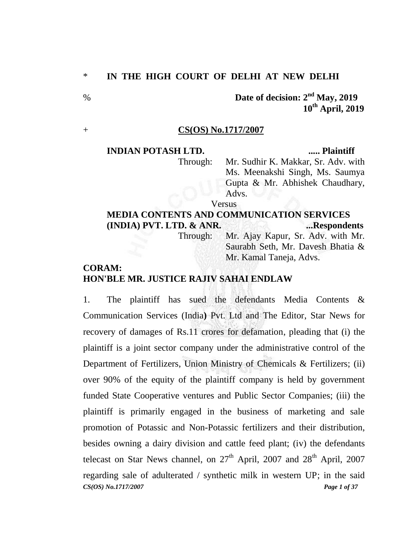**Date of decision: 2<sup>nd</sup> May, 2019 10th April, 2019**

#### + **CS(OS) No.1717/2007**

### **INDIAN POTASH LTD. ..... Plaintiff**

Through: Mr. Sudhir K. Makkar, Sr. Adv. with Ms. Meenakshi Singh, Ms. Saumya Gupta & Mr. Abhishek Chaudhary, Advs.

Versus

# **MEDIA CONTENTS AND COMMUNICATION SERVICES (INDIA) PVT. LTD. & ANR. ...Respondents**

Through: Mr. Ajay Kapur, Sr. Adv. with Mr. Saurabh Seth, Mr. Davesh Bhatia & Mr. Kamal Taneja, Advs.

## **CORAM: HON'BLE MR. JUSTICE RAJIV SAHAI ENDLAW**

*CS(OS) No.1717/2007 Page 1 of 37* 1. The plaintiff has sued the defendants Media Contents & Communication Services (India**)** Pvt. Ltd and The Editor, Star News for recovery of damages of Rs.11 crores for defamation, pleading that (i) the plaintiff is a joint sector company under the administrative control of the Department of Fertilizers, Union Ministry of Chemicals & Fertilizers; (ii) over 90% of the equity of the plaintiff company is held by government funded State Cooperative ventures and Public Sector Companies; (iii) the plaintiff is primarily engaged in the business of marketing and sale promotion of Potassic and Non-Potassic fertilizers and their distribution, besides owning a dairy division and cattle feed plant; (iv) the defendants telecast on Star News channel, on  $27<sup>th</sup>$  April,  $2007$  and  $28<sup>th</sup>$  April,  $2007$ regarding sale of adulterated / synthetic milk in western UP; in the said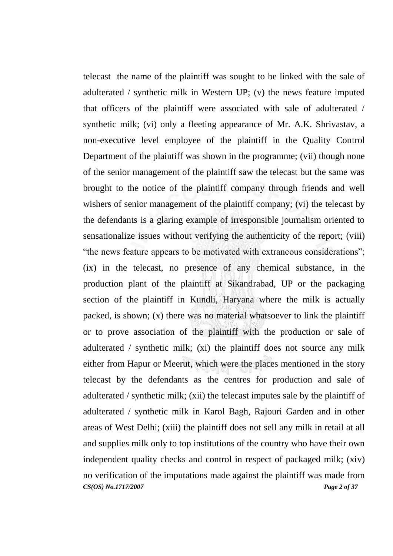*CS(OS) No.1717/2007 Page 2 of 37* telecast the name of the plaintiff was sought to be linked with the sale of adulterated / synthetic milk in Western UP; (v) the news feature imputed that officers of the plaintiff were associated with sale of adulterated / synthetic milk; (vi) only a fleeting appearance of Mr. A.K. Shrivastav, a non-executive level employee of the plaintiff in the Quality Control Department of the plaintiff was shown in the programme; (vii) though none of the senior management of the plaintiff saw the telecast but the same was brought to the notice of the plaintiff company through friends and well wishers of senior management of the plaintiff company; (vi) the telecast by the defendants is a glaring example of irresponsible journalism oriented to sensationalize issues without verifying the authenticity of the report; (viii) "the news feature appears to be motivated with extraneous considerations"; (ix) in the telecast, no presence of any chemical substance, in the production plant of the plaintiff at Sikandrabad, UP or the packaging section of the plaintiff in Kundli, Haryana where the milk is actually packed, is shown; (x) there was no material whatsoever to link the plaintiff or to prove association of the plaintiff with the production or sale of adulterated / synthetic milk; (xi) the plaintiff does not source any milk either from Hapur or Meerut, which were the places mentioned in the story telecast by the defendants as the centres for production and sale of adulterated / synthetic milk; (xii) the telecast imputes sale by the plaintiff of adulterated / synthetic milk in Karol Bagh, Rajouri Garden and in other areas of West Delhi; (xiii) the plaintiff does not sell any milk in retail at all and supplies milk only to top institutions of the country who have their own independent quality checks and control in respect of packaged milk; (xiv) no verification of the imputations made against the plaintiff was made from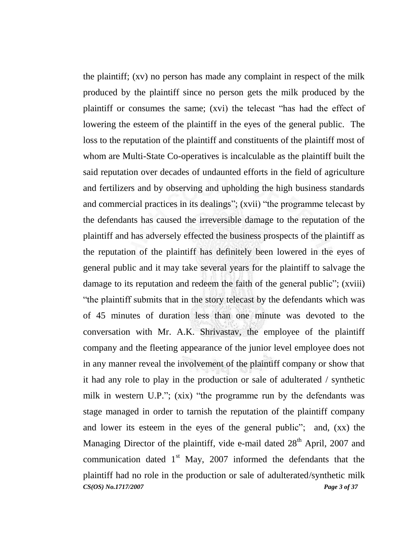*CS(OS) No.1717/2007 Page 3 of 37* the plaintiff; (xv) no person has made any complaint in respect of the milk produced by the plaintiff since no person gets the milk produced by the plaintiff or consumes the same; (xvi) the telecast "has had the effect of lowering the esteem of the plaintiff in the eyes of the general public. The loss to the reputation of the plaintiff and constituents of the plaintiff most of whom are Multi-State Co-operatives is incalculable as the plaintiff built the said reputation over decades of undaunted efforts in the field of agriculture and fertilizers and by observing and upholding the high business standards and commercial practices in its dealings"; (xvii) "the programme telecast by the defendants has caused the irreversible damage to the reputation of the plaintiff and has adversely effected the business prospects of the plaintiff as the reputation of the plaintiff has definitely been lowered in the eyes of general public and it may take several years for the plaintiff to salvage the damage to its reputation and redeem the faith of the general public"; (xviii) "the plaintiff submits that in the story telecast by the defendants which was of 45 minutes of duration less than one minute was devoted to the conversation with Mr. A.K. Shrivastav, the employee of the plaintiff company and the fleeting appearance of the junior level employee does not in any manner reveal the involvement of the plaintiff company or show that it had any role to play in the production or sale of adulterated / synthetic milk in western U.P."; (xix) "the programme run by the defendants was stage managed in order to tarnish the reputation of the plaintiff company and lower its esteem in the eyes of the general public"; and, (xx) the Managing Director of the plaintiff, vide e-mail dated 28<sup>th</sup> April, 2007 and communication dated  $1<sup>st</sup>$  May, 2007 informed the defendants that the plaintiff had no role in the production or sale of adulterated/synthetic milk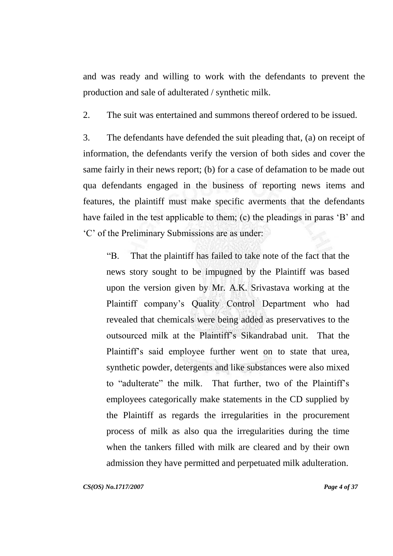and was ready and willing to work with the defendants to prevent the production and sale of adulterated / synthetic milk.

2. The suit was entertained and summons thereof ordered to be issued.

3. The defendants have defended the suit pleading that, (a) on receipt of information, the defendants verify the version of both sides and cover the same fairly in their news report; (b) for a case of defamation to be made out qua defendants engaged in the business of reporting news items and features, the plaintiff must make specific averments that the defendants have failed in the test applicable to them; (c) the pleadings in paras 'B' and "C" of the Preliminary Submissions are as under:

"B. That the plaintiff has failed to take note of the fact that the news story sought to be impugned by the Plaintiff was based upon the version given by Mr. A.K. Srivastava working at the Plaintiff company"s Quality Control Department who had revealed that chemicals were being added as preservatives to the outsourced milk at the Plaintiff"s Sikandrabad unit. That the Plaintiff's said employee further went on to state that urea, synthetic powder, detergents and like substances were also mixed to "adulterate" the milk. That further, two of the Plaintiff"s employees categorically make statements in the CD supplied by the Plaintiff as regards the irregularities in the procurement process of milk as also qua the irregularities during the time when the tankers filled with milk are cleared and by their own admission they have permitted and perpetuated milk adulteration.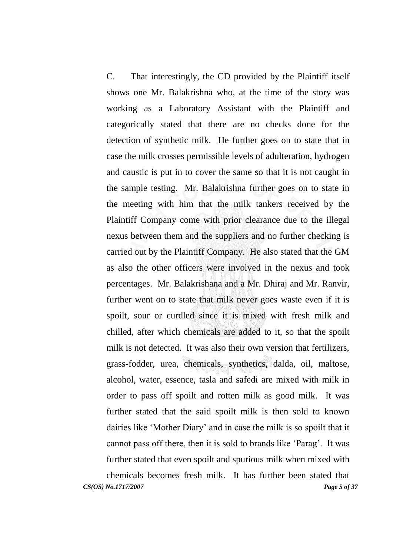C. That interestingly, the CD provided by the Plaintiff itself shows one Mr. Balakrishna who, at the time of the story was working as a Laboratory Assistant with the Plaintiff and categorically stated that there are no checks done for the detection of synthetic milk. He further goes on to state that in case the milk crosses permissible levels of adulteration, hydrogen and caustic is put in to cover the same so that it is not caught in the sample testing. Mr. Balakrishna further goes on to state in the meeting with him that the milk tankers received by the Plaintiff Company come with prior clearance due to the illegal nexus between them and the suppliers and no further checking is carried out by the Plaintiff Company. He also stated that the GM as also the other officers were involved in the nexus and took percentages. Mr. Balakrishana and a Mr. Dhiraj and Mr. Ranvir, further went on to state that milk never goes waste even if it is spoilt, sour or curdled since it is mixed with fresh milk and chilled, after which chemicals are added to it, so that the spoilt milk is not detected. It was also their own version that fertilizers, grass-fodder, urea, chemicals, synthetics, dalda, oil, maltose, alcohol, water, essence, tasla and safedi are mixed with milk in order to pass off spoilt and rotten milk as good milk. It was further stated that the said spoilt milk is then sold to known dairies like "Mother Diary" and in case the milk is so spoilt that it cannot pass off there, then it is sold to brands like "Parag". It was further stated that even spoilt and spurious milk when mixed with chemicals becomes fresh milk. It has further been stated that

*CS(OS) No.1717/2007 Page 5 of 37*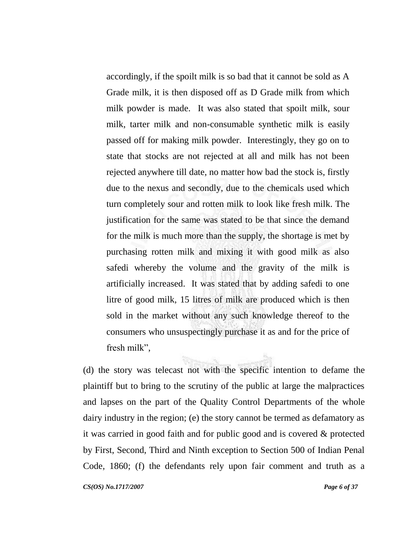accordingly, if the spoilt milk is so bad that it cannot be sold as A Grade milk, it is then disposed off as D Grade milk from which milk powder is made. It was also stated that spoilt milk, sour milk, tarter milk and non-consumable synthetic milk is easily passed off for making milk powder. Interestingly, they go on to state that stocks are not rejected at all and milk has not been rejected anywhere till date, no matter how bad the stock is, firstly due to the nexus and secondly, due to the chemicals used which turn completely sour and rotten milk to look like fresh milk. The justification for the same was stated to be that since the demand for the milk is much more than the supply, the shortage is met by purchasing rotten milk and mixing it with good milk as also safedi whereby the volume and the gravity of the milk is artificially increased. It was stated that by adding safedi to one litre of good milk, 15 litres of milk are produced which is then sold in the market without any such knowledge thereof to the consumers who unsuspectingly purchase it as and for the price of fresh milk",

(d) the story was telecast not with the specific intention to defame the plaintiff but to bring to the scrutiny of the public at large the malpractices and lapses on the part of the Quality Control Departments of the whole dairy industry in the region; (e) the story cannot be termed as defamatory as it was carried in good faith and for public good and is covered & protected by First, Second, Third and Ninth exception to Section 500 of Indian Penal Code, 1860; (f) the defendants rely upon fair comment and truth as a

*CS(OS) No.1717/2007 Page 6 of 37*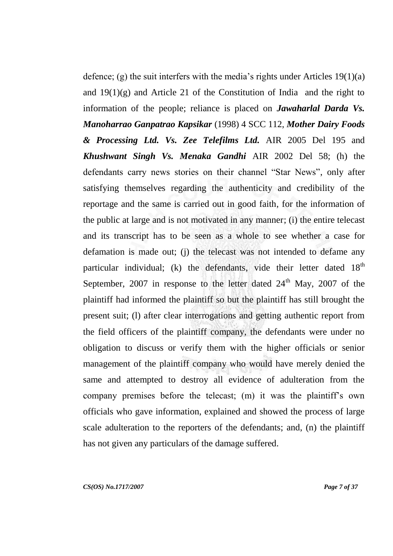defence; (g) the suit interfers with the media's rights under Articles  $19(1)(a)$ and  $19(1)(g)$  and Article 21 of the Constitution of India and the right to information of the people; reliance is placed on *Jawaharlal Darda Vs. Manoharrao Ganpatrao Kapsikar* (1998) 4 SCC 112, *Mother Dairy Foods & Processing Ltd. Vs. Zee Telefilms Ltd.* AIR 2005 Del 195 and *Khushwant Singh Vs. Menaka Gandhi* AIR 2002 Del 58; (h) the defendants carry news stories on their channel "Star News", only after satisfying themselves regarding the authenticity and credibility of the reportage and the same is carried out in good faith, for the information of the public at large and is not motivated in any manner; (i) the entire telecast and its transcript has to be seen as a whole to see whether a case for defamation is made out; (j) the telecast was not intended to defame any particular individual; (k) the defendants, vide their letter dated  $18<sup>th</sup>$ September, 2007 in response to the letter dated  $24<sup>th</sup>$  May, 2007 of the plaintiff had informed the plaintiff so but the plaintiff has still brought the present suit; (l) after clear interrogations and getting authentic report from the field officers of the plaintiff company, the defendants were under no obligation to discuss or verify them with the higher officials or senior management of the plaintiff company who would have merely denied the same and attempted to destroy all evidence of adulteration from the company premises before the telecast; (m) it was the plaintiff's own officials who gave information, explained and showed the process of large scale adulteration to the reporters of the defendants; and, (n) the plaintiff has not given any particulars of the damage suffered.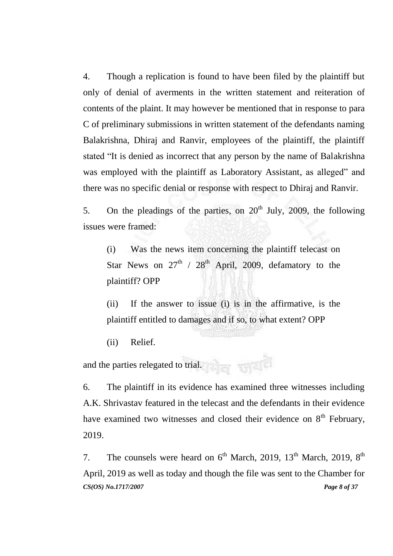4. Though a replication is found to have been filed by the plaintiff but only of denial of averments in the written statement and reiteration of contents of the plaint. It may however be mentioned that in response to para C of preliminary submissions in written statement of the defendants naming Balakrishna, Dhiraj and Ranvir, employees of the plaintiff, the plaintiff stated "It is denied as incorrect that any person by the name of Balakrishna was employed with the plaintiff as Laboratory Assistant, as alleged" and there was no specific denial or response with respect to Dhiraj and Ranvir.

5. On the pleadings of the parties, on  $20<sup>th</sup>$  July, 2009, the following issues were framed:

(i) Was the news item concerning the plaintiff telecast on Star News on  $27<sup>th</sup>$  /  $28<sup>th</sup>$  April, 2009, defamatory to the plaintiff? OPP

(ii) If the answer to issue (i) is in the affirmative, is the plaintiff entitled to damages and if so, to what extent? OPP

(ii) Relief.

and the parties relegated to trial.

6. The plaintiff in its evidence has examined three witnesses including A.K. Shrivastav featured in the telecast and the defendants in their evidence have examined two witnesses and closed their evidence on  $8<sup>th</sup>$  February, 2019.

*CS(OS) No.1717/2007 Page 8 of 37* 7. The counsels were heard on  $6<sup>th</sup>$  March, 2019, 13<sup>th</sup> March, 2019, 8<sup>th</sup> April, 2019 as well as today and though the file was sent to the Chamber for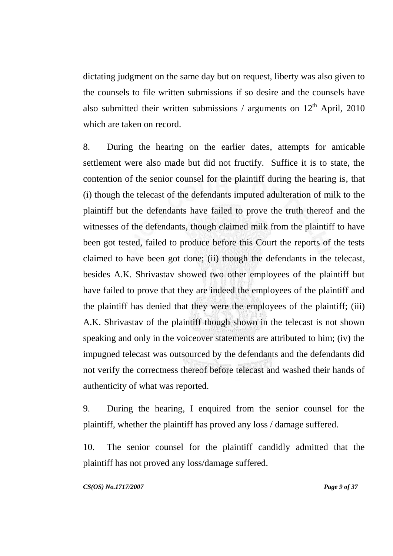dictating judgment on the same day but on request, liberty was also given to the counsels to file written submissions if so desire and the counsels have also submitted their written submissions / arguments on  $12<sup>th</sup>$  April, 2010 which are taken on record.

8. During the hearing on the earlier dates, attempts for amicable settlement were also made but did not fructify. Suffice it is to state, the contention of the senior counsel for the plaintiff during the hearing is, that (i) though the telecast of the defendants imputed adulteration of milk to the plaintiff but the defendants have failed to prove the truth thereof and the witnesses of the defendants, though claimed milk from the plaintiff to have been got tested, failed to produce before this Court the reports of the tests claimed to have been got done; (ii) though the defendants in the telecast, besides A.K. Shrivastav showed two other employees of the plaintiff but have failed to prove that they are indeed the employees of the plaintiff and the plaintiff has denied that they were the employees of the plaintiff; (iii) A.K. Shrivastav of the plaintiff though shown in the telecast is not shown speaking and only in the voiceover statements are attributed to him; (iv) the impugned telecast was outsourced by the defendants and the defendants did not verify the correctness thereof before telecast and washed their hands of authenticity of what was reported.

9. During the hearing, I enquired from the senior counsel for the plaintiff, whether the plaintiff has proved any loss / damage suffered.

10. The senior counsel for the plaintiff candidly admitted that the plaintiff has not proved any loss/damage suffered.

*CS(OS) No.1717/2007 Page 9 of 37*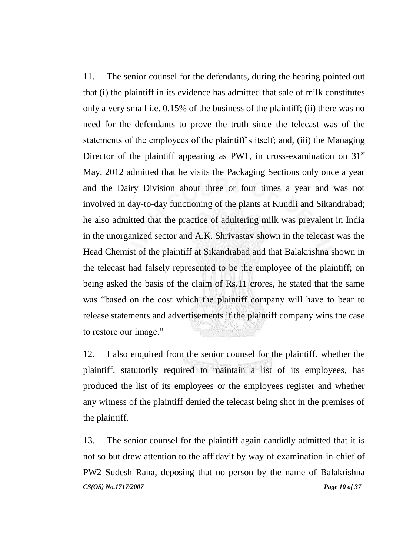11. The senior counsel for the defendants, during the hearing pointed out that (i) the plaintiff in its evidence has admitted that sale of milk constitutes only a very small i.e. 0.15% of the business of the plaintiff; (ii) there was no need for the defendants to prove the truth since the telecast was of the statements of the employees of the plaintiff's itself; and, (iii) the Managing Director of the plaintiff appearing as PW1, in cross-examination on  $31<sup>st</sup>$ May, 2012 admitted that he visits the Packaging Sections only once a year and the Dairy Division about three or four times a year and was not involved in day-to-day functioning of the plants at Kundli and Sikandrabad; he also admitted that the practice of adultering milk was prevalent in India in the unorganized sector and A.K. Shrivastav shown in the telecast was the Head Chemist of the plaintiff at Sikandrabad and that Balakrishna shown in the telecast had falsely represented to be the employee of the plaintiff; on being asked the basis of the claim of Rs.11 crores, he stated that the same was "based on the cost which the plaintiff company will have to bear to release statements and advertisements if the plaintiff company wins the case to restore our image."

12. I also enquired from the senior counsel for the plaintiff, whether the plaintiff, statutorily required to maintain a list of its employees, has produced the list of its employees or the employees register and whether any witness of the plaintiff denied the telecast being shot in the premises of the plaintiff.

*CS(OS) No.1717/2007 Page 10 of 37* 13. The senior counsel for the plaintiff again candidly admitted that it is not so but drew attention to the affidavit by way of examination-in-chief of PW2 Sudesh Rana, deposing that no person by the name of Balakrishna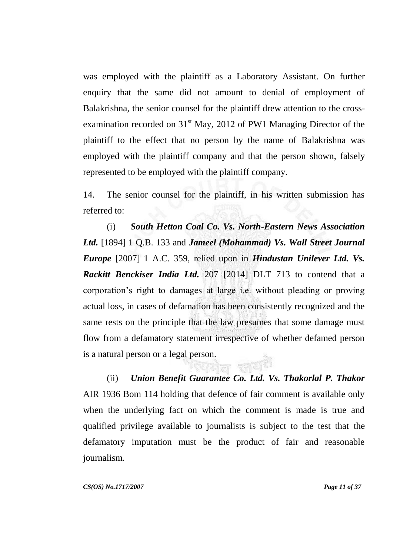was employed with the plaintiff as a Laboratory Assistant. On further enquiry that the same did not amount to denial of employment of Balakrishna, the senior counsel for the plaintiff drew attention to the crossexamination recorded on  $31<sup>st</sup>$  May, 2012 of PW1 Managing Director of the plaintiff to the effect that no person by the name of Balakrishna was employed with the plaintiff company and that the person shown, falsely represented to be employed with the plaintiff company.

14. The senior counsel for the plaintiff, in his written submission has referred to:

(i) *South Hetton Coal Co. Vs. North-Eastern News Association Ltd.* [1894] 1 Q.B. 133 and *Jameel (Mohammad) Vs. Wall Street Journal Europe* [2007] 1 A.C. 359, relied upon in *Hindustan Unilever Ltd. Vs. Rackitt Benckiser India Ltd.* 207 [2014] DLT 713 to contend that a corporation"s right to damages at large i.e. without pleading or proving actual loss, in cases of defamation has been consistently recognized and the same rests on the principle that the law presumes that some damage must flow from a defamatory statement irrespective of whether defamed person is a natural person or a legal person.

(ii) *Union Benefit Guarantee Co. Ltd. Vs. Thakorlal P. Thakor*  AIR 1936 Bom 114 holding that defence of fair comment is available only when the underlying fact on which the comment is made is true and qualified privilege available to journalists is subject to the test that the defamatory imputation must be the product of fair and reasonable journalism.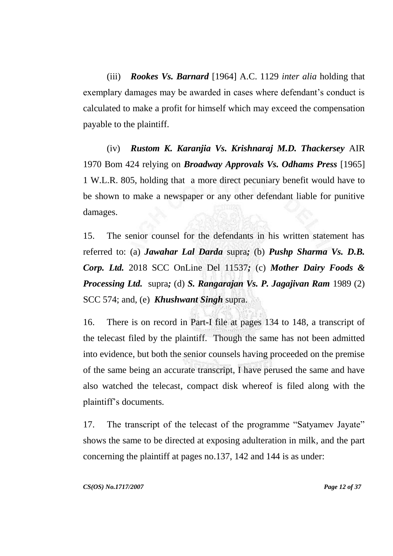(iii) *Rookes Vs. Barnard* [1964] A.C. 1129 *inter alia* holding that exemplary damages may be awarded in cases where defendant's conduct is calculated to make a profit for himself which may exceed the compensation payable to the plaintiff.

(iv) *Rustom K. Karanjia Vs. Krishnaraj M.D. Thackersey* AIR 1970 Bom 424 relying on *Broadway Approvals Vs. Odhams Press* [1965] 1 W.L.R. 805, holding that a more direct pecuniary benefit would have to be shown to make a newspaper or any other defendant liable for punitive damages.

15. The senior counsel for the defendants in his written statement has referred to: (a) *Jawahar Lal Darda* supra*;* (b) *Pushp Sharma Vs. D.B. Corp. Ltd.* 2018 SCC OnLine Del 11537*;* (c) *Mother Dairy Foods & Processing Ltd.* supra*;* (d) *S. Rangarajan Vs. P. Jagajivan Ram* 1989 (2) SCC 574; and, (e) *Khushwant Singh* supra.

16. There is on record in Part-I file at pages 134 to 148, a transcript of the telecast filed by the plaintiff. Though the same has not been admitted into evidence, but both the senior counsels having proceeded on the premise of the same being an accurate transcript, I have perused the same and have also watched the telecast, compact disk whereof is filed along with the plaintiff"s documents.

17. The transcript of the telecast of the programme "Satyamev Jayate" shows the same to be directed at exposing adulteration in milk, and the part concerning the plaintiff at pages no.137, 142 and 144 is as under: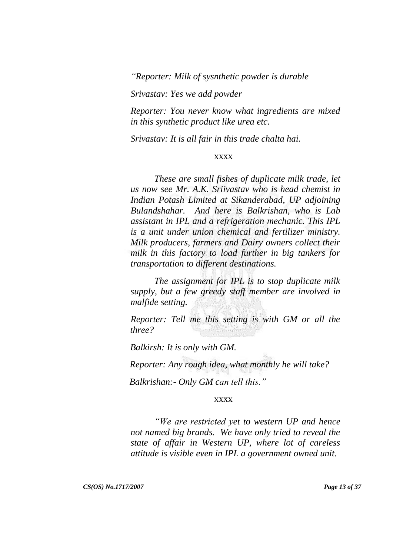*"Reporter: Milk of sysnthetic powder is durable*

*Srivastav: Yes we add powder*

*Reporter: You never know what ingredients are mixed in this synthetic product like urea etc.* 

*Srivastav: It is all fair in this trade chalta hai.*

### xxxx

*These are small fishes of duplicate milk trade, let us now see Mr. A.K. Sriivastav who is head chemist in Indian Potash Limited at Sikanderabad, UP adjoining Bulandshahar. And here is Balkrishan, who is Lab assistant in IPL and a refrigeration mechanic. This IPL is a unit under union chemical and fertilizer ministry. Milk producers, farmers and Dairy owners collect their milk in this factory to load further in big tankers for transportation to different destinations.* 

*The assignment for IPL is to stop duplicate milk supply, but a few greedy staff member are involved in malfide setting.*

*Reporter: Tell me this setting is with GM or all the three?*

*Balkirsh: It is only with GM.*

*Reporter: Any rough idea, what monthly he will take?*

*Balkrishan:- Only GM can tell this."*

#### xxxx

*"We are restricted yet to western UP and hence not named big brands. We have only tried to reveal the state of affair in Western UP, where lot of careless attitude is visible even in IPL a government owned unit.*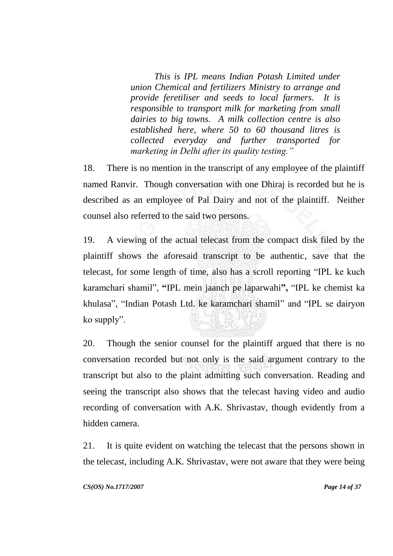*This is IPL means Indian Potash Limited under union Chemical and fertilizers Ministry to arrange and provide feretiliser and seeds to local farmers. It is responsible to transport milk for marketing from small dairies to big towns. A milk collection centre is also established here, where 50 to 60 thousand litres is collected everyday and further transported for marketing in Delhi after its quality testing."* 

18. There is no mention in the transcript of any employee of the plaintiff named Ranvir. Though conversation with one Dhiraj is recorded but he is described as an employee of Pal Dairy and not of the plaintiff. Neither counsel also referred to the said two persons.

19. A viewing of the actual telecast from the compact disk filed by the plaintiff shows the aforesaid transcript to be authentic, save that the telecast, for some length of time, also has a scroll reporting "IPL ke kuch karamchari shamil", **"**IPL mein jaanch pe laparwahi**",** "IPL ke chemist ka khulasa", "Indian Potash Ltd. ke karamchari shamil" and "IPL se dairyon ko supply".

20. Though the senior counsel for the plaintiff argued that there is no conversation recorded but not only is the said argument contrary to the transcript but also to the plaint admitting such conversation. Reading and seeing the transcript also shows that the telecast having video and audio recording of conversation with A.K. Shrivastav, though evidently from a hidden camera.

21. It is quite evident on watching the telecast that the persons shown in the telecast, including A.K. Shrivastav, were not aware that they were being

*CS(OS) No.1717/2007 Page 14 of 37*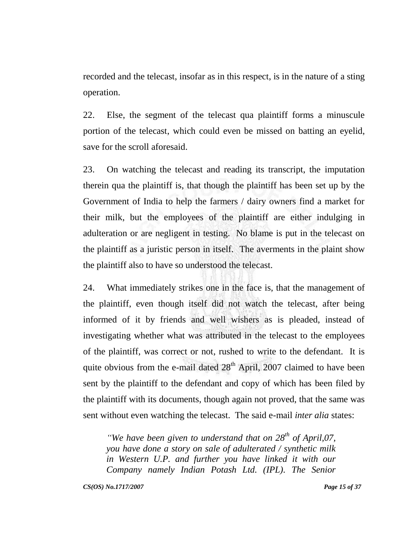recorded and the telecast, insofar as in this respect, is in the nature of a sting operation.

22. Else, the segment of the telecast qua plaintiff forms a minuscule portion of the telecast, which could even be missed on batting an eyelid, save for the scroll aforesaid.

23. On watching the telecast and reading its transcript, the imputation therein qua the plaintiff is, that though the plaintiff has been set up by the Government of India to help the farmers / dairy owners find a market for their milk, but the employees of the plaintiff are either indulging in adulteration or are negligent in testing. No blame is put in the telecast on the plaintiff as a juristic person in itself. The averments in the plaint show the plaintiff also to have so understood the telecast.

24. What immediately strikes one in the face is, that the management of the plaintiff, even though itself did not watch the telecast, after being informed of it by friends and well wishers as is pleaded, instead of investigating whether what was attributed in the telecast to the employees of the plaintiff, was correct or not, rushed to write to the defendant. It is quite obvious from the e-mail dated  $28<sup>th</sup>$  April, 2007 claimed to have been sent by the plaintiff to the defendant and copy of which has been filed by the plaintiff with its documents, though again not proved, that the same was sent without even watching the telecast. The said e-mail *inter alia* states:

*"We have been given to understand that on 28th of April,07, you have done a story on sale of adulterated / synthetic milk in Western U.P. and further you have linked it with our Company namely Indian Potash Ltd. (IPL). The Senior* 

*CS(OS) No.1717/2007 Page 15 of 37*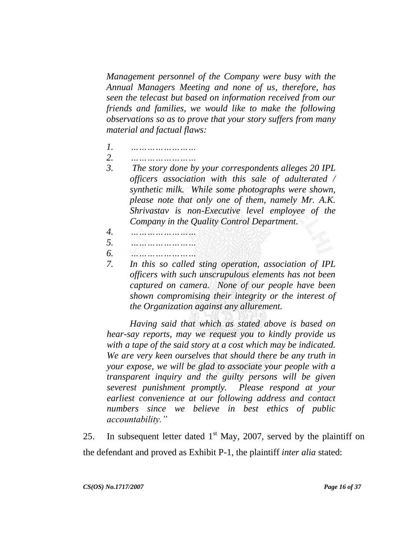*Management personnel of the Company were busy with the Annual Managers Meeting and none of us, therefore, has seen the telecast but based on information received from our friends and families, we would like to make the following observations so as to prove that your story suffers from many material and factual flaws:*

- *1. ……………………*
- *2. ……………………*
- *3. The story done by your correspondents alleges 20 IPL officers association with this sale of adulterated / synthetic milk. While some photographs were shown, please note that only one of them, namely Mr. A.K. Shrivastav is non-Executive level employee of the Company in the Quality Control Department.*
- *4. ……………………*
- *5. ……………………*
- *6. ……………………*
- *7. In this so called sting operation, association of IPL officers with such unscrupulous elements has not been captured on camera. None of our people have been shown compromising their integrity or the interest of the Organization against any allurement.*

*Having said that which as stated above is based on hear-say reports, may we request you to kindly provide us with a tape of the said story at a cost which may be indicated. We are very keen ourselves that should there be any truth in your expose, we will be glad to associate your people with a transparent inquiry and the guilty persons will be given severest punishment promptly. Please respond at your earliest convenience at our following address and contact numbers since we believe in best ethics of public accountability."* 

25. In subsequent letter dated  $1<sup>st</sup>$  May, 2007, served by the plaintiff on the defendant and proved as Exhibit P-1, the plaintiff *inter alia* stated: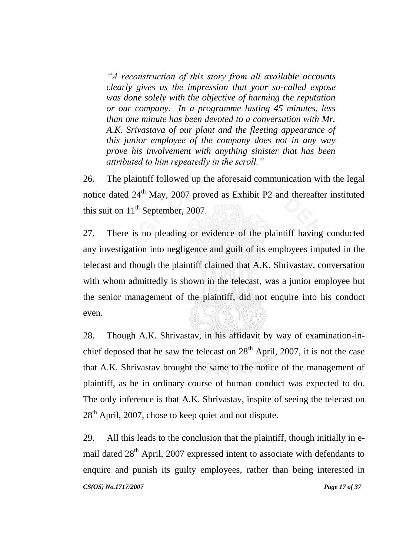*"A reconstruction of this story from all available accounts clearly gives us the impression that your so-called expose was done solely with the objective of harming the reputation or our company. In a programme lasting 45 minutes, less than one minute has been devoted to a conversation with Mr. A.K. Srivastava of our plant and the fleeting appearance of this junior employee of the company does not in any way prove his involvement with anything sinister that has been attributed to him repeatedly in the scroll."* 

26. The plaintiff followed up the aforesaid communication with the legal notice dated 24<sup>th</sup> May, 2007 proved as Exhibit P2 and thereafter instituted this suit on  $11<sup>th</sup>$  September, 2007.

27. There is no pleading or evidence of the plaintiff having conducted any investigation into negligence and guilt of its employees imputed in the telecast and though the plaintiff claimed that A.K. Shrivastav, conversation with whom admittedly is shown in the telecast, was a junior employee but the senior management of the plaintiff, did not enquire into his conduct even.

28. Though A.K. Shrivastav, in his affidavit by way of examination-inchief deposed that he saw the telecast on  $28<sup>th</sup>$  April, 2007, it is not the case that A.K. Shrivastav brought the same to the notice of the management of plaintiff, as he in ordinary course of human conduct was expected to do. The only inference is that A.K. Shrivastav, inspite of seeing the telecast on  $28<sup>th</sup>$  April, 2007, chose to keep quiet and not dispute.

*CS(OS) No.1717/2007 Page 17 of 37* 29. All this leads to the conclusion that the plaintiff, though initially in email dated 28<sup>th</sup> April, 2007 expressed intent to associate with defendants to enquire and punish its guilty employees, rather than being interested in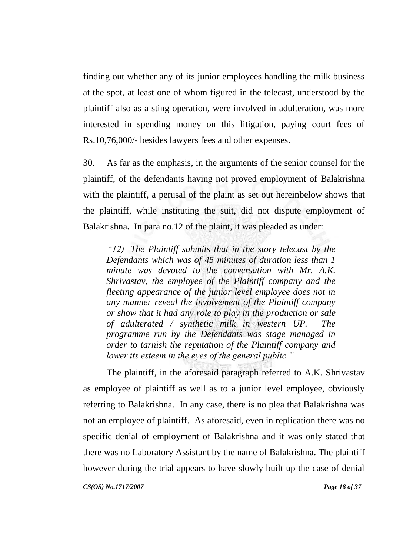finding out whether any of its junior employees handling the milk business at the spot, at least one of whom figured in the telecast, understood by the plaintiff also as a sting operation, were involved in adulteration, was more interested in spending money on this litigation, paying court fees of Rs.10,76,000/- besides lawyers fees and other expenses.

30. As far as the emphasis, in the arguments of the senior counsel for the plaintiff, of the defendants having not proved employment of Balakrishna with the plaintiff, a perusal of the plaint as set out hereinbelow shows that the plaintiff, while instituting the suit, did not dispute employment of Balakrishna**.** In para no.12 of the plaint, it was pleaded as under:

*"12) The Plaintiff submits that in the story telecast by the Defendants which was of 45 minutes of duration less than 1 minute was devoted to the conversation with Mr. A.K. Shrivastav, the employee of the Plaintiff company and the fleeting appearance of the junior level employee does not in any manner reveal the involvement of the Plaintiff company or show that it had any role to play in the production or sale of adulterated / synthetic milk in western UP. The programme run by the Defendants was stage managed in order to tarnish the reputation of the Plaintiff company and lower its esteem in the eyes of the general public."*

*CS(OS) No.1717/2007 Page 18 of 37* The plaintiff, in the aforesaid paragraph referred to A.K. Shrivastav as employee of plaintiff as well as to a junior level employee, obviously referring to Balakrishna. In any case, there is no plea that Balakrishna was not an employee of plaintiff. As aforesaid, even in replication there was no specific denial of employment of Balakrishna and it was only stated that there was no Laboratory Assistant by the name of Balakrishna. The plaintiff however during the trial appears to have slowly built up the case of denial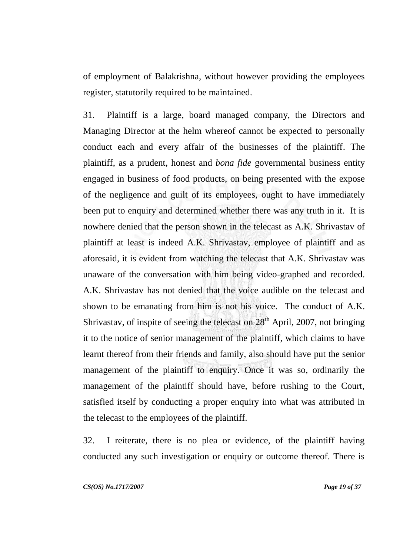of employment of Balakrishna, without however providing the employees register, statutorily required to be maintained.

31. Plaintiff is a large, board managed company, the Directors and Managing Director at the helm whereof cannot be expected to personally conduct each and every affair of the businesses of the plaintiff. The plaintiff, as a prudent, honest and *bona fide* governmental business entity engaged in business of food products, on being presented with the expose of the negligence and guilt of its employees, ought to have immediately been put to enquiry and determined whether there was any truth in it. It is nowhere denied that the person shown in the telecast as A.K. Shrivastav of plaintiff at least is indeed A.K. Shrivastav, employee of plaintiff and as aforesaid, it is evident from watching the telecast that A.K. Shrivastav was unaware of the conversation with him being video-graphed and recorded. A.K. Shrivastav has not denied that the voice audible on the telecast and shown to be emanating from him is not his voice. The conduct of A.K. Shrivastav, of inspite of seeing the telecast on  $28<sup>th</sup>$  April, 2007, not bringing it to the notice of senior management of the plaintiff, which claims to have learnt thereof from their friends and family, also should have put the senior management of the plaintiff to enquiry. Once it was so, ordinarily the management of the plaintiff should have, before rushing to the Court, satisfied itself by conducting a proper enquiry into what was attributed in the telecast to the employees of the plaintiff.

32. I reiterate, there is no plea or evidence, of the plaintiff having conducted any such investigation or enquiry or outcome thereof. There is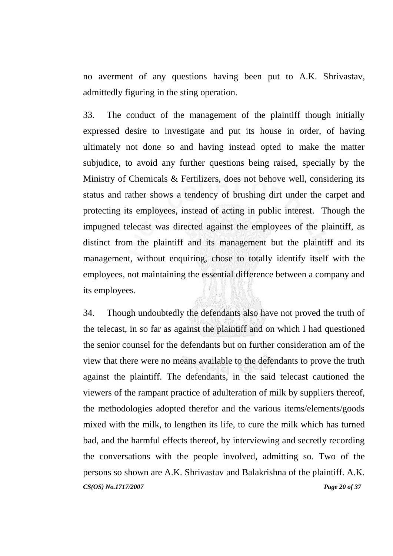no averment of any questions having been put to A.K. Shrivastav, admittedly figuring in the sting operation.

33. The conduct of the management of the plaintiff though initially expressed desire to investigate and put its house in order, of having ultimately not done so and having instead opted to make the matter subjudice, to avoid any further questions being raised, specially by the Ministry of Chemicals & Fertilizers, does not behove well, considering its status and rather shows a tendency of brushing dirt under the carpet and protecting its employees, instead of acting in public interest. Though the impugned telecast was directed against the employees of the plaintiff, as distinct from the plaintiff and its management but the plaintiff and its management, without enquiring, chose to totally identify itself with the employees, not maintaining the essential difference between a company and its employees.

*CS(OS) No.1717/2007 Page 20 of 37* 34. Though undoubtedly the defendants also have not proved the truth of the telecast, in so far as against the plaintiff and on which I had questioned the senior counsel for the defendants but on further consideration am of the view that there were no means available to the defendants to prove the truth against the plaintiff. The defendants, in the said telecast cautioned the viewers of the rampant practice of adulteration of milk by suppliers thereof, the methodologies adopted therefor and the various items/elements/goods mixed with the milk, to lengthen its life, to cure the milk which has turned bad, and the harmful effects thereof, by interviewing and secretly recording the conversations with the people involved, admitting so. Two of the persons so shown are A.K. Shrivastav and Balakrishna of the plaintiff. A.K.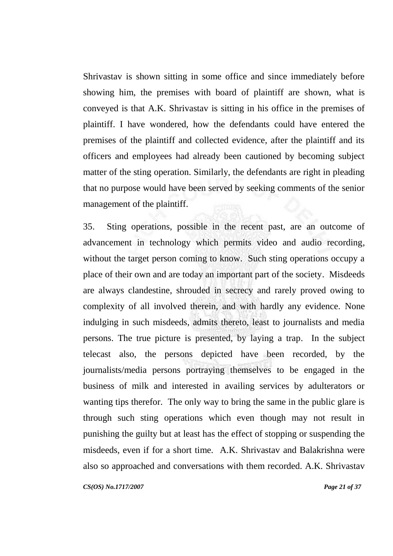Shrivastav is shown sitting in some office and since immediately before showing him, the premises with board of plaintiff are shown, what is conveyed is that A.K. Shrivastav is sitting in his office in the premises of plaintiff. I have wondered, how the defendants could have entered the premises of the plaintiff and collected evidence, after the plaintiff and its officers and employees had already been cautioned by becoming subject matter of the sting operation. Similarly, the defendants are right in pleading that no purpose would have been served by seeking comments of the senior management of the plaintiff. **Military** 

35. Sting operations, possible in the recent past, are an outcome of advancement in technology which permits video and audio recording, without the target person coming to know. Such sting operations occupy a place of their own and are today an important part of the society. Misdeeds are always clandestine, shrouded in secrecy and rarely proved owing to complexity of all involved therein, and with hardly any evidence. None indulging in such misdeeds, admits thereto, least to journalists and media persons. The true picture is presented, by laying a trap. In the subject telecast also, the persons depicted have been recorded, by the journalists/media persons portraying themselves to be engaged in the business of milk and interested in availing services by adulterators or wanting tips therefor. The only way to bring the same in the public glare is through such sting operations which even though may not result in punishing the guilty but at least has the effect of stopping or suspending the misdeeds, even if for a short time. A.K. Shrivastav and Balakrishna were also so approached and conversations with them recorded. A.K. Shrivastav

*CS(OS) No.1717/2007 Page 21 of 37*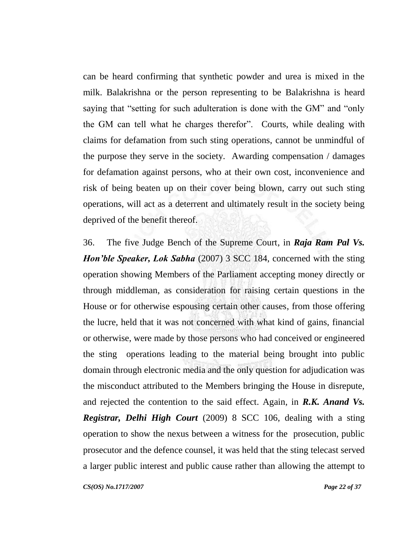can be heard confirming that synthetic powder and urea is mixed in the milk. Balakrishna or the person representing to be Balakrishna is heard saying that "setting for such adulteration is done with the GM" and "only the GM can tell what he charges therefor". Courts, while dealing with claims for defamation from such sting operations, cannot be unmindful of the purpose they serve in the society. Awarding compensation / damages for defamation against persons, who at their own cost, inconvenience and risk of being beaten up on their cover being blown, carry out such sting operations, will act as a deterrent and ultimately result in the society being deprived of the benefit thereof.

36. The five Judge Bench of the Supreme Court, in *Raja Ram Pal Vs. Hon'ble Speaker, Lok Sabha* (2007) 3 SCC 184, concerned with the sting operation showing Members of the Parliament accepting money directly or through middleman, as consideration for raising certain questions in the House or for otherwise espousing certain other causes, from those offering the lucre, held that it was not concerned with what kind of gains, financial or otherwise, were made by those persons who had conceived or engineered the sting operations leading to the material being brought into public domain through electronic media and the only question for adjudication was the misconduct attributed to the Members bringing the House in disrepute, and rejected the contention to the said effect. Again, in *R.K. Anand Vs. Registrar, Delhi High Court* (2009) 8 SCC 106, dealing with a sting operation to show the nexus between a witness for the prosecution, public prosecutor and the defence counsel, it was held that the sting telecast served a larger public interest and public cause rather than allowing the attempt to

*CS(OS) No.1717/2007 Page 22 of 37*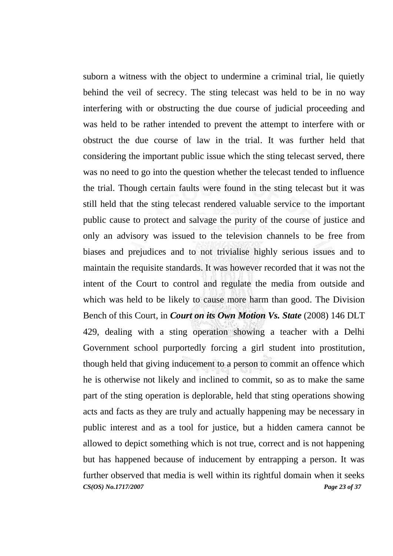*CS(OS) No.1717/2007 Page 23 of 37* suborn a witness with the object to undermine a criminal trial, lie quietly behind the veil of secrecy. The sting telecast was held to be in no way interfering with or obstructing the due course of judicial proceeding and was held to be rather intended to prevent the attempt to interfere with or obstruct the due course of law in the trial. It was further held that considering the important public issue which the sting telecast served, there was no need to go into the question whether the telecast tended to influence the trial. Though certain faults were found in the sting telecast but it was still held that the sting telecast rendered valuable service to the important public cause to protect and salvage the purity of the course of justice and only an advisory was issued to the television channels to be free from biases and prejudices and to not trivialise highly serious issues and to maintain the requisite standards. It was however recorded that it was not the intent of the Court to control and regulate the media from outside and which was held to be likely to cause more harm than good. The Division Bench of this Court, in *Court on its Own Motion Vs. State* (2008) 146 DLT 429, dealing with a sting operation showing a teacher with a Delhi Government school purportedly forcing a girl student into prostitution, though held that giving inducement to a person to commit an offence which he is otherwise not likely and inclined to commit, so as to make the same part of the sting operation is deplorable, held that sting operations showing acts and facts as they are truly and actually happening may be necessary in public interest and as a tool for justice, but a hidden camera cannot be allowed to depict something which is not true, correct and is not happening but has happened because of inducement by entrapping a person. It was further observed that media is well within its rightful domain when it seeks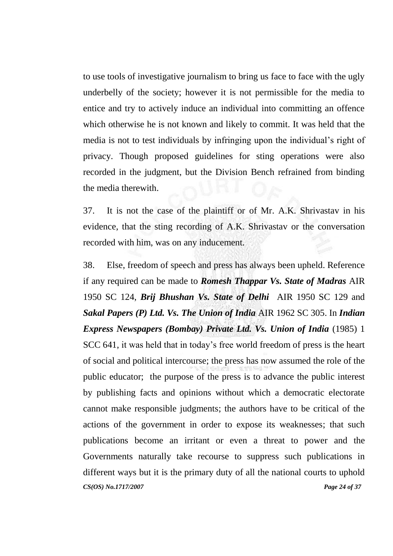to use tools of investigative journalism to bring us face to face with the ugly underbelly of the society; however it is not permissible for the media to entice and try to actively induce an individual into committing an offence which otherwise he is not known and likely to commit. It was held that the media is not to test individuals by infringing upon the individual"s right of privacy. Though proposed guidelines for sting operations were also recorded in the judgment, but the Division Bench refrained from binding the media therewith.

37. It is not the case of the plaintiff or of Mr. A.K. Shrivastav in his evidence, that the sting recording of A.K. Shrivastav or the conversation recorded with him, was on any inducement.

*CS(OS) No.1717/2007 Page 24 of 37* 38. Else, freedom of speech and press has always been upheld. Reference if any required can be made to *Romesh Thappar Vs. State of Madras* AIR 1950 SC 124, *Brij Bhushan Vs. State of Delhi* AIR 1950 SC 129 and *Sakal Papers (P) Ltd. Vs. The Union of India* AIR 1962 SC 305. In *Indian Express Newspapers (Bombay) Private Ltd. Vs. Union of India* (1985) 1 SCC 641, it was held that in today"s free world freedom of press is the heart of social and political intercourse; the press has now assumed the role of the public educator; the purpose of the press is to advance the public interest by publishing facts and opinions without which a democratic electorate cannot make responsible judgments; the authors have to be critical of the actions of the government in order to expose its weaknesses; that such publications become an irritant or even a threat to power and the Governments naturally take recourse to suppress such publications in different ways but it is the primary duty of all the national courts to uphold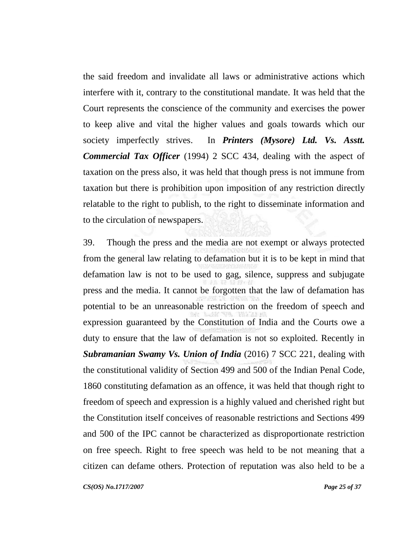the said freedom and invalidate all laws or administrative actions which interfere with it, contrary to the constitutional mandate. It was held that the Court represents the conscience of the community and exercises the power to keep alive and vital the higher values and goals towards which our society imperfectly strives. In *Printers (Mysore) Ltd. Vs. Asstt. Commercial Tax Officer* (1994) 2 SCC 434, dealing with the aspect of taxation on the press also, it was held that though press is not immune from taxation but there is prohibition upon imposition of any restriction directly relatable to the right to publish, to the right to disseminate information and to the circulation of newspapers.

39. Though the press and the media are not exempt or always protected from the general law relating to defamation but it is to be kept in mind that defamation law is not to be used to gag, silence, suppress and subjugate press and the media. It cannot be forgotten that the law of defamation has potential to be an unreasonable restriction on the freedom of speech and expression guaranteed by the Constitution of India and the Courts owe a duty to ensure that the law of defamation is not so exploited. Recently in *Subramanian Swamy Vs. Union of India* (2016) 7 SCC 221, dealing with the constitutional validity of Section 499 and 500 of the Indian Penal Code, 1860 constituting defamation as an offence, it was held that though right to freedom of speech and expression is a highly valued and cherished right but the Constitution itself conceives of reasonable restrictions and Sections 499 and 500 of the IPC cannot be characterized as disproportionate restriction on free speech. Right to free speech was held to be not meaning that a citizen can defame others. Protection of reputation was also held to be a

*CS(OS) No.1717/2007 Page 25 of 37*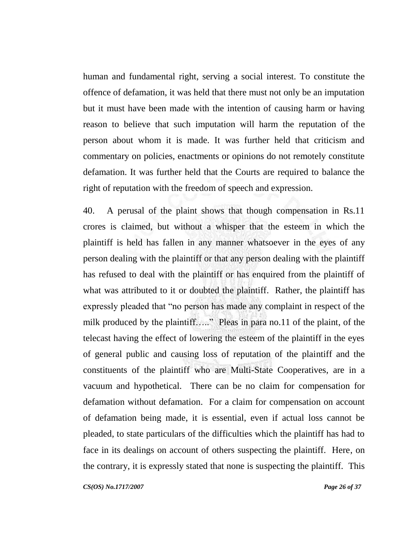human and fundamental right, serving a social interest. To constitute the offence of defamation, it was held that there must not only be an imputation but it must have been made with the intention of causing harm or having reason to believe that such imputation will harm the reputation of the person about whom it is made. It was further held that criticism and commentary on policies, enactments or opinions do not remotely constitute defamation. It was further held that the Courts are required to balance the right of reputation with the freedom of speech and expression.

40. A perusal of the plaint shows that though compensation in Rs.11 crores is claimed, but without a whisper that the esteem in which the plaintiff is held has fallen in any manner whatsoever in the eyes of any person dealing with the plaintiff or that any person dealing with the plaintiff has refused to deal with the plaintiff or has enquired from the plaintiff of what was attributed to it or doubted the plaintiff. Rather, the plaintiff has expressly pleaded that "no person has made any complaint in respect of the milk produced by the plaintiff….." Pleas in para no.11 of the plaint, of the telecast having the effect of lowering the esteem of the plaintiff in the eyes of general public and causing loss of reputation of the plaintiff and the constituents of the plaintiff who are Multi-State Cooperatives, are in a vacuum and hypothetical. There can be no claim for compensation for defamation without defamation. For a claim for compensation on account of defamation being made, it is essential, even if actual loss cannot be pleaded, to state particulars of the difficulties which the plaintiff has had to face in its dealings on account of others suspecting the plaintiff. Here, on the contrary, it is expressly stated that none is suspecting the plaintiff. This

*CS(OS) No.1717/2007 Page 26 of 37*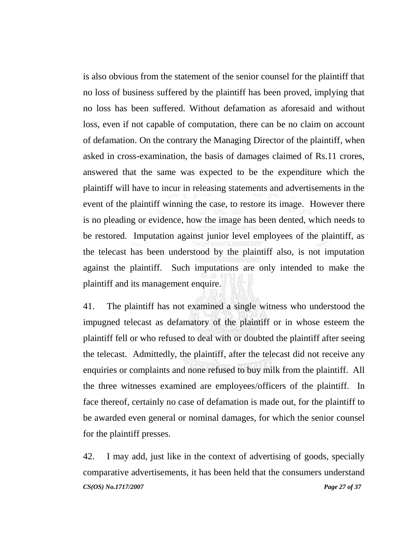is also obvious from the statement of the senior counsel for the plaintiff that no loss of business suffered by the plaintiff has been proved, implying that no loss has been suffered. Without defamation as aforesaid and without loss, even if not capable of computation, there can be no claim on account of defamation. On the contrary the Managing Director of the plaintiff, when asked in cross-examination, the basis of damages claimed of Rs.11 crores, answered that the same was expected to be the expenditure which the plaintiff will have to incur in releasing statements and advertisements in the event of the plaintiff winning the case, to restore its image. However there is no pleading or evidence, how the image has been dented, which needs to be restored. Imputation against junior level employees of the plaintiff, as the telecast has been understood by the plaintiff also, is not imputation against the plaintiff. Such imputations are only intended to make the plaintiff and its management enquire.

41. The plaintiff has not examined a single witness who understood the impugned telecast as defamatory of the plaintiff or in whose esteem the plaintiff fell or who refused to deal with or doubted the plaintiff after seeing the telecast. Admittedly, the plaintiff, after the telecast did not receive any enquiries or complaints and none refused to buy milk from the plaintiff. All the three witnesses examined are employees/officers of the plaintiff. In face thereof, certainly no case of defamation is made out, for the plaintiff to be awarded even general or nominal damages, for which the senior counsel for the plaintiff presses.

*CS(OS) No.1717/2007 Page 27 of 37* 42. I may add, just like in the context of advertising of goods, specially comparative advertisements, it has been held that the consumers understand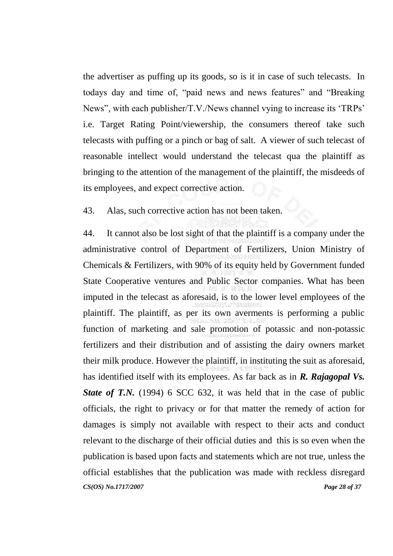the advertiser as puffing up its goods, so is it in case of such telecasts. In todays day and time of, "paid news and news features" and "Breaking News", with each publisher/T.V./News channel vying to increase its 'TRPs' i.e. Target Rating Point/viewership, the consumers thereof take such telecasts with puffing or a pinch or bag of salt. A viewer of such telecast of reasonable intellect would understand the telecast qua the plaintiff as bringing to the attention of the management of the plaintiff, the misdeeds of its employees, and expect corrective action.

43. Alas, such corrective action has not been taken.

*CS(OS) No.1717/2007 Page 28 of 37* 44. It cannot also be lost sight of that the plaintiff is a company under the administrative control of Department of Fertilizers, Union Ministry of Chemicals & Fertilizers, with 90% of its equity held by Government funded State Cooperative ventures and Public Sector companies. What has been imputed in the telecast as aforesaid, is to the lower level employees of the plaintiff. The plaintiff, as per its own averments is performing a public function of marketing and sale promotion of potassic and non-potassic fertilizers and their distribution and of assisting the dairy owners market their milk produce. However the plaintiff, in instituting the suit as aforesaid, has identified itself with its employees. As far back as in *R. Rajagopal Vs. State of T.N.* (1994) 6 SCC 632, it was held that in the case of public officials, the right to privacy or for that matter the remedy of action for damages is simply not available with respect to their acts and conduct relevant to the discharge of their official duties and this is so even when the publication is based upon facts and statements which are not true, unless the official establishes that the publication was made with reckless disregard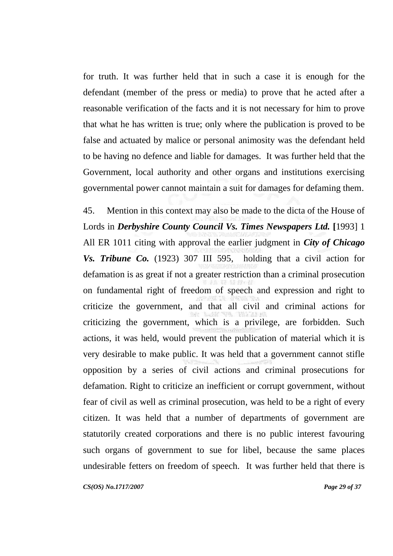for truth. It was further held that in such a case it is enough for the defendant (member of the press or media) to prove that he acted after a reasonable verification of the facts and it is not necessary for him to prove that what he has written is true; only where the publication is proved to be false and actuated by malice or personal animosity was the defendant held to be having no defence and liable for damages. It was further held that the Government, local authority and other organs and institutions exercising governmental power cannot maintain a suit for damages for defaming them.

45. Mention in this context may also be made to the dicta of the House of Lords in *Derbyshire County Council Vs. Times Newspapers Ltd.* [1993] 1 All ER 1011 citing with approval the earlier judgment in *City of Chicago Vs. Tribune Co.* (1923) 307 III 595, holding that a civil action for defamation is as great if not a greater restriction than a criminal prosecution on fundamental right of freedom of speech and expression and right to criticize the government, and that all civil and criminal actions for criticizing the government, which is a privilege, are forbidden. Such actions, it was held, would prevent the publication of material which it is very desirable to make public. It was held that a government cannot stifle opposition by a series of civil actions and criminal prosecutions for defamation. Right to criticize an inefficient or corrupt government, without fear of civil as well as criminal prosecution, was held to be a right of every citizen. It was held that a number of departments of government are statutorily created corporations and there is no public interest favouring such organs of government to sue for libel, because the same places undesirable fetters on freedom of speech. It was further held that there is

*CS(OS) No.1717/2007 Page 29 of 37*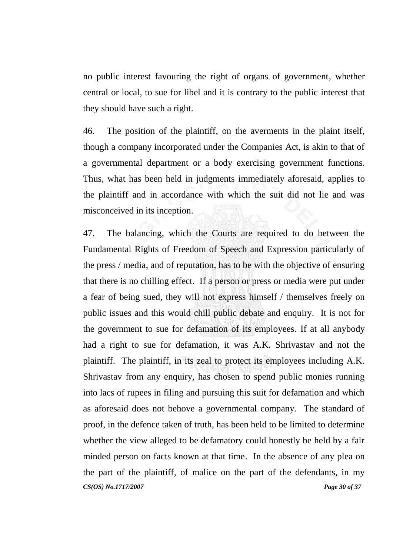no public interest favouring the right of organs of government, whether central or local, to sue for libel and it is contrary to the public interest that they should have such a right.

46. The position of the plaintiff, on the averments in the plaint itself, though a company incorporated under the Companies Act, is akin to that of a governmental department or a body exercising government functions. Thus, what has been held in judgments immediately aforesaid, applies to the plaintiff and in accordance with which the suit did not lie and was misconceived in its inception.

*CS(OS) No.1717/2007 Page 30 of 37* 47. The balancing, which the Courts are required to do between the Fundamental Rights of Freedom of Speech and Expression particularly of the press / media, and of reputation, has to be with the objective of ensuring that there is no chilling effect. If a person or press or media were put under a fear of being sued, they will not express himself / themselves freely on public issues and this would chill public debate and enquiry. It is not for the government to sue for defamation of its employees. If at all anybody had a right to sue for defamation, it was A.K. Shrivastav and not the plaintiff. The plaintiff, in its zeal to protect its employees including A.K. Shrivastav from any enquiry, has chosen to spend public monies running into lacs of rupees in filing and pursuing this suit for defamation and which as aforesaid does not behove a governmental company. The standard of proof, in the defence taken of truth, has been held to be limited to determine whether the view alleged to be defamatory could honestly be held by a fair minded person on facts known at that time. In the absence of any plea on the part of the plaintiff, of malice on the part of the defendants, in my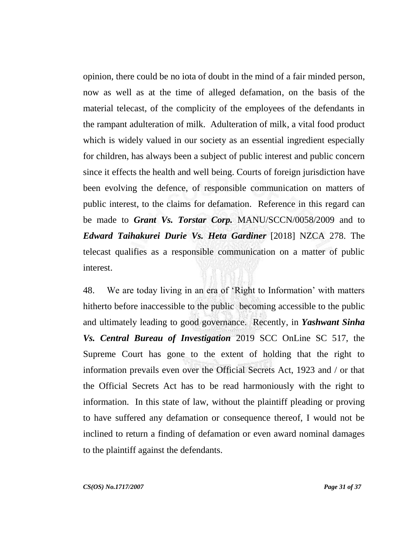opinion, there could be no iota of doubt in the mind of a fair minded person, now as well as at the time of alleged defamation, on the basis of the material telecast, of the complicity of the employees of the defendants in the rampant adulteration of milk. Adulteration of milk, a vital food product which is widely valued in our society as an essential ingredient especially for children, has always been a subject of public interest and public concern since it effects the health and well being. Courts of foreign jurisdiction have been evolving the defence, of responsible communication on matters of public interest, to the claims for defamation. Reference in this regard can be made to *Grant Vs. Torstar Corp.* MANU/SCCN/0058/2009 and to *Edward Taihakurei Durie Vs. Heta Gardiner* [2018] NZCA 278. The telecast qualifies as a responsible communication on a matter of public interest.

48. We are today living in an era of "Right to Information" with matters hitherto before inaccessible to the public becoming accessible to the public and ultimately leading to good governance. Recently, in *Yashwant Sinha Vs. Central Bureau of Investigation* 2019 SCC OnLine SC 517, the Supreme Court has gone to the extent of holding that the right to information prevails even over the Official Secrets Act, 1923 and / or that the Official Secrets Act has to be read harmoniously with the right to information. In this state of law, without the plaintiff pleading or proving to have suffered any defamation or consequence thereof, I would not be inclined to return a finding of defamation or even award nominal damages to the plaintiff against the defendants.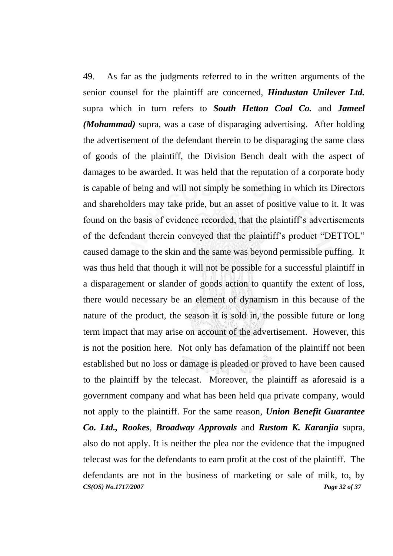*CS(OS) No.1717/2007 Page 32 of 37* 49. As far as the judgments referred to in the written arguments of the senior counsel for the plaintiff are concerned, *Hindustan Unilever Ltd.* supra which in turn refers to *South Hetton Coal Co.* and *Jameel (Mohammad)* supra, was a case of disparaging advertising. After holding the advertisement of the defendant therein to be disparaging the same class of goods of the plaintiff, the Division Bench dealt with the aspect of damages to be awarded. It was held that the reputation of a corporate body is capable of being and will not simply be something in which its Directors and shareholders may take pride, but an asset of positive value to it. It was found on the basis of evidence recorded, that the plaintiff's advertisements of the defendant therein conveyed that the plaintiff's product "DETTOL" caused damage to the skin and the same was beyond permissible puffing. It was thus held that though it will not be possible for a successful plaintiff in a disparagement or slander of goods action to quantify the extent of loss, there would necessary be an element of dynamism in this because of the nature of the product, the season it is sold in, the possible future or long term impact that may arise on account of the advertisement. However, this is not the position here. Not only has defamation of the plaintiff not been established but no loss or damage is pleaded or proved to have been caused to the plaintiff by the telecast. Moreover, the plaintiff as aforesaid is a government company and what has been held qua private company, would not apply to the plaintiff. For the same reason, *Union Benefit Guarantee Co. Ltd., Rookes, Broadway Approvals* and *Rustom K. Karanjia* supra, also do not apply. It is neither the plea nor the evidence that the impugned telecast was for the defendants to earn profit at the cost of the plaintiff. The defendants are not in the business of marketing or sale of milk, to, by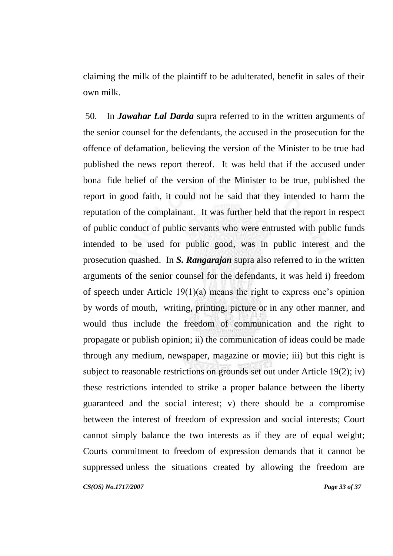claiming the milk of the plaintiff to be adulterated, benefit in sales of their own milk.

*CS(OS) No.1717/2007 Page 33 of 37* 50. In *Jawahar Lal Darda* supra referred to in the written arguments of the senior counsel for the defendants, the accused in the prosecution for the offence of defamation, believing the version of the Minister to be true had published the news report thereof. It was held that if the accused under bona fide belief of the version of the Minister to be true, published the report in good faith, it could not be said that they intended to harm the reputation of the complainant. It was further held that the report in respect of public conduct of public servants who were entrusted with public funds intended to be used for public good, was in public interest and the prosecution quashed. In *S. Rangarajan* supra also referred to in the written arguments of the senior counsel for the defendants, it was held i) freedom of speech under Article  $19(1)(a)$  means the right to express one's opinion by words of mouth, writing, printing, picture or in any other manner, and would thus include the freedom of communication and the right to propagate or publish opinion; ii) the communication of ideas could be made through any medium, newspaper, magazine or movie; iii) but this right is subject to reasonable restrictions on grounds set out under Article 19(2); iv) these restrictions intended to strike a proper balance between the liberty guaranteed and the social interest; v) there should be a compromise between the interest of freedom of expression and social interests; Court cannot simply balance the two interests as if they are of equal weight; Courts commitment to freedom of expression demands that it cannot be suppressed unless the situations created by allowing the freedom are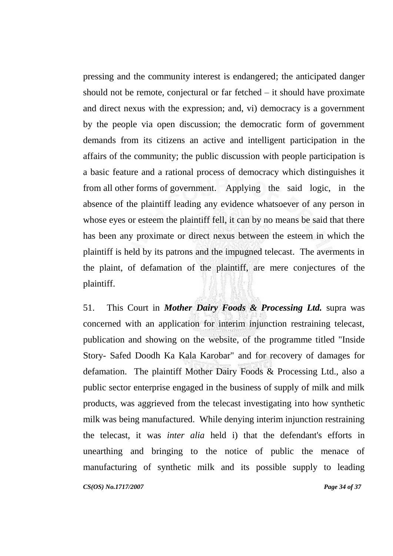pressing and the community interest is endangered; the anticipated danger should not be remote, conjectural or far fetched – it should have proximate and direct nexus with the expression; and, vi) democracy is a government by the people via open discussion; the democratic form of government demands from its citizens an active and intelligent participation in the affairs of the community; the public discussion with people participation is a basic feature and a rational process of democracy which distinguishes it from all other forms of government. Applying the said logic, in the absence of the plaintiff leading any evidence whatsoever of any person in whose eyes or esteem the plaintiff fell, it can by no means be said that there has been any proximate or direct nexus between the esteem in which the plaintiff is held by its patrons and the impugned telecast. The averments in the plaint, of defamation of the plaintiff, are mere conjectures of the plaintiff.

*CS(OS) No.1717/2007 Page 34 of 37* 51. This Court in *Mother Dairy Foods & Processing Ltd.* supra was concerned with an application for interim injunction restraining telecast, publication and showing on the website, of the programme titled "Inside Story- Safed Doodh Ka Kala Karobar" and for recovery of damages for defamation. The plaintiff Mother Dairy Foods & Processing Ltd., also a public sector enterprise engaged in the business of supply of milk and milk products, was aggrieved from the telecast investigating into how synthetic milk was being manufactured. While denying interim injunction restraining the telecast, it was *inter alia* held i) that the defendant's efforts in unearthing and bringing to the notice of public the menace of manufacturing of synthetic milk and its possible supply to leading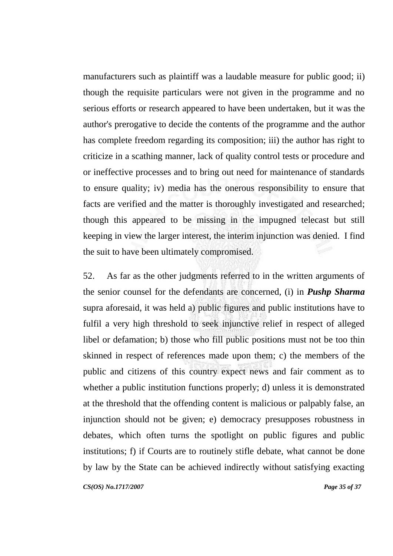manufacturers such as plaintiff was a laudable measure for public good; ii) though the requisite particulars were not given in the programme and no serious efforts or research appeared to have been undertaken, but it was the author's prerogative to decide the contents of the programme and the author has complete freedom regarding its composition; iii) the author has right to criticize in a scathing manner, lack of quality control tests or procedure and or ineffective processes and to bring out need for maintenance of standards to ensure quality; iv) media has the onerous responsibility to ensure that facts are verified and the matter is thoroughly investigated and researched; though this appeared to be missing in the impugned telecast but still keeping in view the larger interest, the interim injunction was denied. I find the suit to have been ultimately compromised.

*CS(OS) No.1717/2007 Page 35 of 37* 52. As far as the other judgments referred to in the written arguments of the senior counsel for the defendants are concerned, (i) in *Pushp Sharma*  supra aforesaid, it was held a) public figures and public institutions have to fulfil a very high threshold to seek injunctive relief in respect of alleged libel or defamation; b) those who fill public positions must not be too thin skinned in respect of references made upon them; c) the members of the public and citizens of this country expect news and fair comment as to whether a public institution functions properly; d) unless it is demonstrated at the threshold that the offending content is malicious or palpably false, an injunction should not be given; e) democracy presupposes robustness in debates, which often turns the spotlight on public figures and public institutions; f) if Courts are to routinely stifle debate, what cannot be done by law by the State can be achieved indirectly without satisfying exacting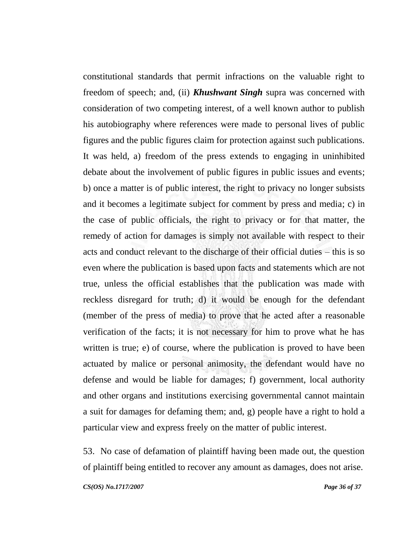constitutional standards that permit infractions on the valuable right to freedom of speech; and, (ii) *Khushwant Singh* supra was concerned with consideration of two competing interest, of a well known author to publish his autobiography where references were made to personal lives of public figures and the public figures claim for protection against such publications. It was held, a) freedom of the press extends to engaging in uninhibited debate about the involvement of public figures in public issues and events; b) once a matter is of public interest, the right to privacy no longer subsists and it becomes a legitimate subject for comment by press and media; c) in the case of public officials, the right to privacy or for that matter, the remedy of action for damages is simply not available with respect to their acts and conduct relevant to the discharge of their official duties – this is so even where the publication is based upon facts and statements which are not true, unless the official establishes that the publication was made with reckless disregard for truth; d) it would be enough for the defendant (member of the press of media) to prove that he acted after a reasonable verification of the facts; it is not necessary for him to prove what he has written is true; e) of course, where the publication is proved to have been actuated by malice or personal animosity, the defendant would have no defense and would be liable for damages; f) government, local authority and other organs and institutions exercising governmental cannot maintain a suit for damages for defaming them; and, g) people have a right to hold a particular view and express freely on the matter of public interest.

*CS(OS) No.1717/2007 Page 36 of 37* 53. No case of defamation of plaintiff having been made out, the question of plaintiff being entitled to recover any amount as damages, does not arise.